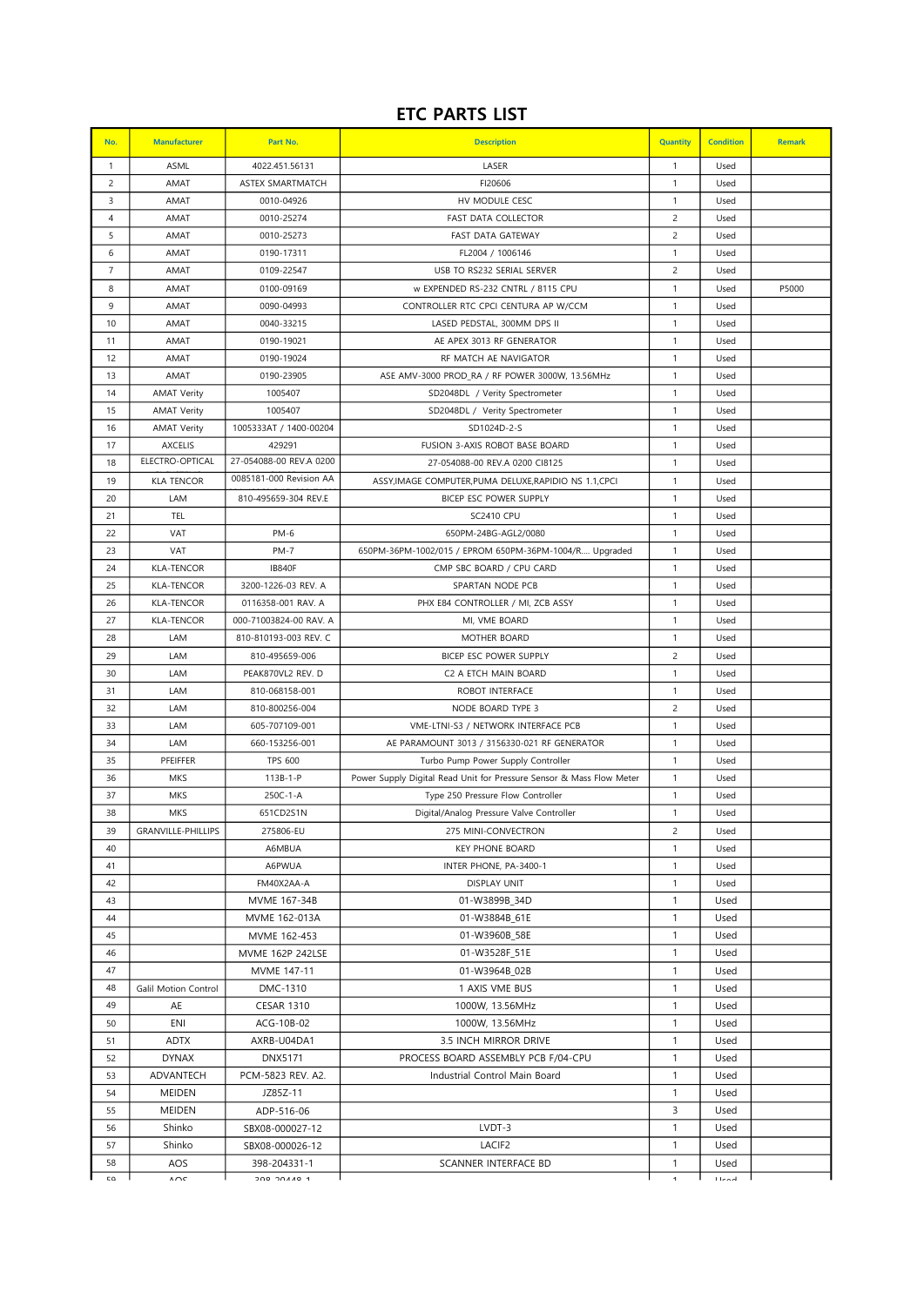## ETC PARTS LIST

| No.              | <b>Manufacturer</b>          | Part No.                   | <b>Description</b>                                                   | Quantity                     | <b>Condition</b> | <b>Remark</b> |
|------------------|------------------------------|----------------------------|----------------------------------------------------------------------|------------------------------|------------------|---------------|
| $\mathbf{1}$     | ASML                         | 4022.451.56131             | LASER                                                                | $\mathbf{1}$                 | Used             |               |
| $\overline{c}$   | AMAT                         | ASTEX SMARTMATCH           | FI20606                                                              | $\mathbf{1}$                 | Used             |               |
| 3                | AMAT                         | 0010-04926                 | HV MODULE CESC                                                       | $\mathbf{1}$                 | Used             |               |
| $\overline{4}$   | AMAT                         | 0010-25274                 | <b>FAST DATA COLLECTOR</b>                                           | $\overline{c}$               | Used             |               |
| 5                | AMAT                         | 0010-25273                 | FAST DATA GATEWAY                                                    | $\overline{c}$               | Used             |               |
| 6                | AMAT                         | 0190-17311                 | FL2004 / 1006146                                                     | $\mathbf{1}$                 | Used             |               |
| $\overline{7}$   | AMAT                         | 0109-22547                 | USB TO RS232 SERIAL SERVER                                           | $\overline{c}$               | Used             |               |
| 8                | AMAT                         | 0100-09169                 | w EXPENDED RS-232 CNTRL / 8115 CPU                                   | $\mathbf{1}$                 | Used             | P5000         |
| 9                | AMAT                         | 0090-04993                 | CONTROLLER RTC CPCI CENTURA AP W/CCM                                 | $\mathbf{1}$                 | Used             |               |
| 10               | AMAT                         | 0040-33215                 | LASED PEDSTAL, 300MM DPS II                                          | $\mathbf{1}$                 | Used             |               |
| 11               | AMAT                         | 0190-19021                 | AE APEX 3013 RF GENERATOR                                            | $\mathbf{1}$                 | Used             |               |
| 12               | AMAT                         | 0190-19024                 | RF MATCH AE NAVIGATOR                                                | $\mathbf{1}$                 | Used             |               |
| 13               | AMAT                         | 0190-23905                 | ASE AMV-3000 PROD_RA / RF POWER 3000W, 13.56MHz                      | 1                            | Used             |               |
| 14               | <b>AMAT Verity</b>           | 1005407                    | SD2048DL / Verity Spectrometer                                       | $\mathbf{1}$                 | Used             |               |
| 15               | <b>AMAT Verity</b>           | 1005407                    | SD2048DL / Verity Spectrometer                                       | $\mathbf{1}$                 | Used             |               |
| 16               | <b>AMAT Verity</b>           | 1005333AT / 1400-00204     | SD1024D-2-S                                                          | $\mathbf{1}$                 | Used             |               |
| 17               | <b>AXCELIS</b>               | 429291                     | <b>FUSION 3-AXIS ROBOT BASE BOARD</b>                                | $\mathbf{1}$                 | Used             |               |
| 18               | ELECTRO-OPTICAL              | 27-054088-00 REV.A 0200    | 27-054088-00 REV.A 0200 CI8125                                       | $\mathbf{1}$                 | Used             |               |
| 19               | <b>KLA TENCOR</b>            | 0085181-000 Revision AA    | ASSY, IMAGE COMPUTER, PUMA DELUXE, RAPIDIO NS 1.1, CPCI              | $\mathbf{1}$                 | Used             |               |
| 20               | LAM                          | 810-495659-304 REV.E       | BICEP ESC POWER SUPPLY                                               | $\mathbf{1}$                 | Used             |               |
| 21               | TEL                          |                            | <b>SC2410 CPU</b>                                                    | $\mathbf{1}$                 | Used             |               |
| 22               | VAT                          | PM-6                       | 650PM-24BG-AGL2/0080                                                 | $\mathbf{1}$                 | Used             |               |
| 23               | VAT                          | <b>PM-7</b>                | 650PM-36PM-1002/015 / EPROM 650PM-36PM-1004/R Upgraded               | $\mathbf{1}$                 | Used             |               |
| 24               | <b>KLA-TENCOR</b>            | <b>IB840F</b>              | CMP SBC BOARD / CPU CARD                                             | $\mathbf{1}$                 | Used             |               |
| 25               | <b>KLA-TENCOR</b>            | 3200-1226-03 REV. A        | SPARTAN NODE PCB                                                     | $\mathbf{1}$                 | Used             |               |
| 26               | <b>KLA-TENCOR</b>            | 0116358-001 RAV. A         | PHX E84 CONTROLLER / MI, ZCB ASSY                                    | $\mathbf{1}$                 | Used             |               |
| 27               | <b>KLA-TENCOR</b>            | 000-71003824-00 RAV. A     | MI, VME BOARD                                                        | $\mathbf{1}$                 | Used             |               |
| 28               | LAM                          | 810-810193-003 REV. C      | MOTHER BOARD                                                         | $\mathbf{1}$                 | Used             |               |
| 29               | LAM                          | 810-495659-006             | BICEP ESC POWER SUPPLY                                               | $\overline{c}$               | Used             |               |
| 30               | LAM                          | PEAK870VL2 REV. D          | C2 A ETCH MAIN BOARD                                                 | 1                            | Used             |               |
| 31               | LAM                          | 810-068158-001             | ROBOT INTERFACE                                                      | $\mathbf{1}$                 | Used             |               |
| 32               | LAM                          | 810-800256-004             | NODE BOARD TYPE 3                                                    | $\overline{c}$               | Used             |               |
| 33               | LAM                          | 605-707109-001             | VME-LTNI-S3 / NETWORK INTERFACE PCB                                  | $\mathbf{1}$                 | Used             |               |
| 34               | LAM                          | 660-153256-001             | AE PARAMOUNT 3013 / 3156330-021 RF GENERATOR                         | $\mathbf{1}$                 | Used             |               |
| 35               | PFEIFFER                     | <b>TPS 600</b>             | Turbo Pump Power Supply Controller                                   | $\mathbf{1}$                 | Used             |               |
| 36               | <b>MKS</b>                   | 113B-1-P                   | Power Supply Digital Read Unit for Pressure Sensor & Mass Flow Meter | $\mathbf{1}$                 | Used             |               |
| 37               | MKS                          | 250C-1-A                   | Type 250 Pressure Flow Controller                                    | $\mathbf{1}$                 | Used             |               |
| 38               | <b>MKS</b>                   | 651CD2S1N                  | Digital/Analog Pressure Valve Controller                             | 1                            | Used             |               |
| 39               | GRANVILLE-PHILLIPS           | 275806-EU                  | 275 MINI-CONVECTRON                                                  | $\overline{c}$               | Used             |               |
| 40               |                              | A6MBUA                     | <b>KEY PHONE BOARD</b>                                               | $\mathbf{1}$                 | Used             |               |
| 41               |                              | A6PWUA                     | INTER PHONE, PA-3400-1                                               | $\mathbf{1}$                 | Used             |               |
| 42<br>43         |                              | FM40X2AA-A<br>MVME 167-34B | <b>DISPLAY UNIT</b><br>01-W3899B_34D                                 | $\mathbf{1}$<br>$\mathbf{1}$ | Used<br>Used     |               |
| 44               |                              | MVME 162-013A              | 01-W3884B 61E                                                        | $\mathbf{1}$                 | Used             |               |
| 45               |                              | MVME 162-453               | 01-W3960B_58E                                                        | $\mathbf{1}$                 | Used             |               |
| 46               |                              | MVME 162P 242LSE           | 01-W3528F_51E                                                        | $\mathbf{1}$                 | Used             |               |
| 47               |                              | MVME 147-11                | 01-W3964B_02B                                                        | 1                            | Used             |               |
| 48               | Galil Motion Control         | DMC-1310                   | 1 AXIS VME BUS                                                       | $\mathbf{1}$                 | Used             |               |
| 49               | AE                           | <b>CESAR 1310</b>          | 1000W, 13.56MHz                                                      | $\mathbf{1}$                 | Used             |               |
| 50               | ENI                          | ACG-10B-02                 | 1000W, 13.56MHz                                                      | $\mathbf{1}$                 | Used             |               |
| 51               | <b>ADTX</b>                  | AXRB-U04DA1                | 3.5 INCH MIRROR DRIVE                                                | 1                            | Used             |               |
| 52               | <b>DYNAX</b>                 | <b>DNX5171</b>             | PROCESS BOARD ASSEMBLY PCB F/04-CPU                                  | $\mathbf{1}$                 | Used             |               |
| 53               | ADVANTECH                    | PCM-5823 REV. A2.          | Industrial Control Main Board                                        | 1                            | Used             |               |
| 54               | <b>MEIDEN</b>                | JZ85Z-11                   |                                                                      | $\mathbf{1}$                 | Used             |               |
| 55               | <b>MEIDEN</b>                | ADP-516-06                 |                                                                      | 3                            | Used             |               |
| 56               | Shinko                       | SBX08-000027-12            | LVDT-3                                                               | $\mathbf{1}$                 | Used             |               |
| 57               | Shinko                       | SBX08-000026-12            | LACIF <sub>2</sub>                                                   | $\mathbf{1}$                 | Used             |               |
| 58               | AOS                          | 398-204331-1               | SCANNER INTERFACE BD                                                 | 1                            | Used             |               |
| $\mathbb{C}\cap$ | $\wedge\!\curvearrowright\!$ | <b>P QAAC QOC</b>          |                                                                      | $\blacktriangleleft$         | <b>Transl</b>    |               |